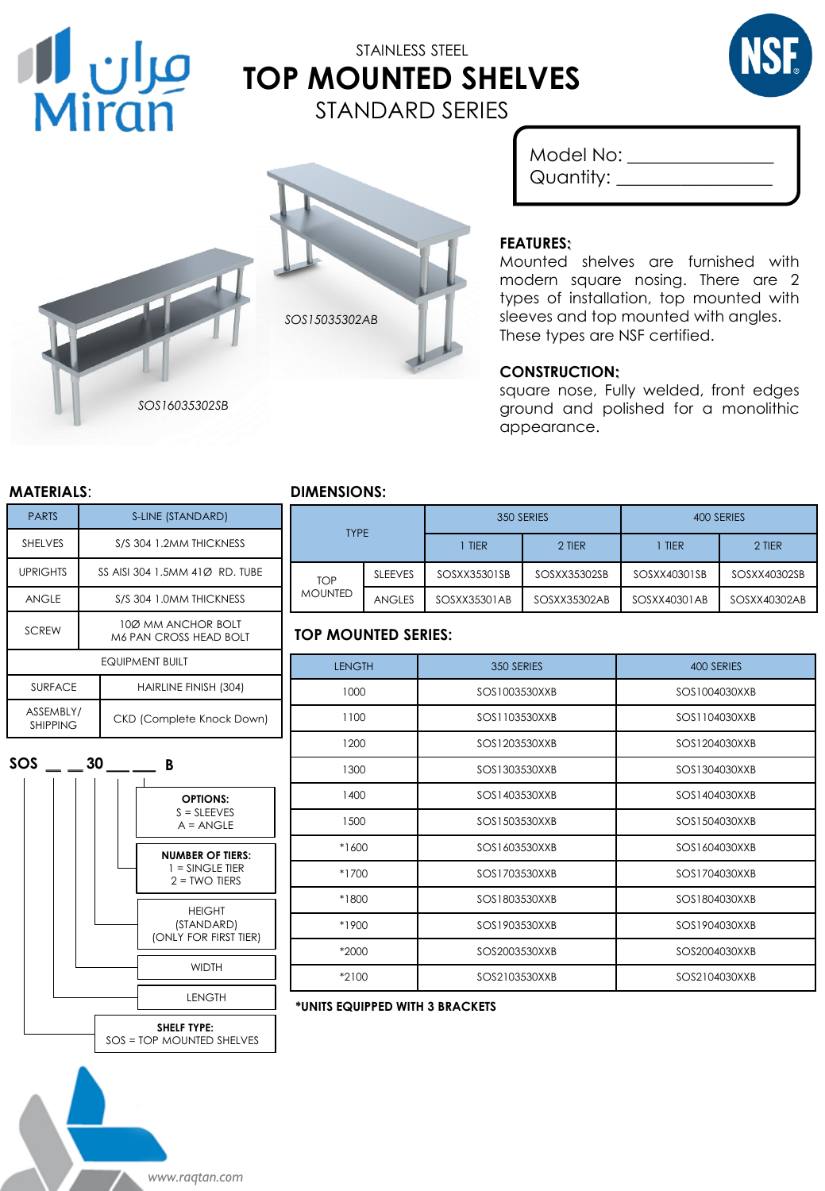

# STAINLESS STEEL **TOP MOUNTED SHELVES** STANDARD SERIES





Model No: \_\_\_\_\_\_\_\_\_\_\_\_\_\_\_\_ Quantity:

#### **FEATURES:**

Mounted shelves are furnished with modern square nosing. There are 2 types of installation, top mounted with sleeves and top mounted with angles. These types are NSF certified.

#### **CONSTRUCTION:**

square nose, Fully welded, front edges ground and polished for a monolithic appearance.

| <b>PARTS</b>                 | S-LINE (STANDARD)                                   |                                  |  |  |
|------------------------------|-----------------------------------------------------|----------------------------------|--|--|
| <b>SHELVES</b>               | S/S 304 1.2MM THICKNESS                             |                                  |  |  |
| <b>UPRIGHTS</b>              | SS AISI 304 1.5MM 410 RD. TUBE                      |                                  |  |  |
| <b>ANGLE</b>                 | S/S 304 1.0MM THICKNESS                             |                                  |  |  |
| <b>SCREW</b>                 | 100 MM ANCHOR BOLT<br><b>M6 PAN CROSS HEAD BOLT</b> |                                  |  |  |
| <b>EQUIPMENT BUILT</b>       |                                                     |                                  |  |  |
| <b>SURFACE</b>               |                                                     | HAIRLINE FINISH (304)            |  |  |
| ASSEMBLY/<br><b>SHIPPING</b> |                                                     | <b>CKD (Complete Knock Down)</b> |  |  |

*SOS16035302SB*



*www.raqtan.com*

## **MATERIALS**: **DIMENSIONS:**

| <b>TYPE</b>                  |                |              | 350 SERIES   | 400 SERIES   |              |
|------------------------------|----------------|--------------|--------------|--------------|--------------|
|                              |                | <b>TIER</b>  | 2 TIER       | <b>TIER</b>  | 2 TIER       |
| <b>TOP</b><br><b>MOUNTED</b> | <b>SLEEVES</b> | SOSXX35301SB | SOSXX35302SB | SOSXX40301SB | SOSXX40302SB |
|                              | <b>ANGLES</b>  | SOSXX35301AB | SOSXX35302AB | SOSXX40301AB | SOSXX40302AB |

## **TOP MOUNTED SERIES:**

| <b>LENGTH</b> | 350 SERIES    | 400 SERIES    |
|---------------|---------------|---------------|
| 1000          | SOS1003530XXB | SOS1004030XXB |
| 1100          | SOS1103530XXB | SOS1104030XXB |
| 1200          | SOS1203530XXB | SOS1204030XXB |
| 1300          | SOS1303530XXB | SOS1304030XXB |
| 1400          | SOS1403530XXB | SOS1404030XXB |
| 1500          | SOS1503530XXB | SOS1504030XXB |
| $*1600$       | SOS1603530XXB | SOS1604030XXB |
| $*1700$       | SOS1703530XXB | SOS1704030XXB |
| *1800         | SOS1803530XXB | SOS1804030XXB |
| *1900         | SOS1903530XXB | SOS1904030XXB |
| *2000         | SOS2003530XXB | SOS2004030XXB |
| *2100         | SOS2103530XXB | SOS2104030XXB |
|               |               |               |

#### **\*UNITS EQUIPPED WITH 3 BRACKETS**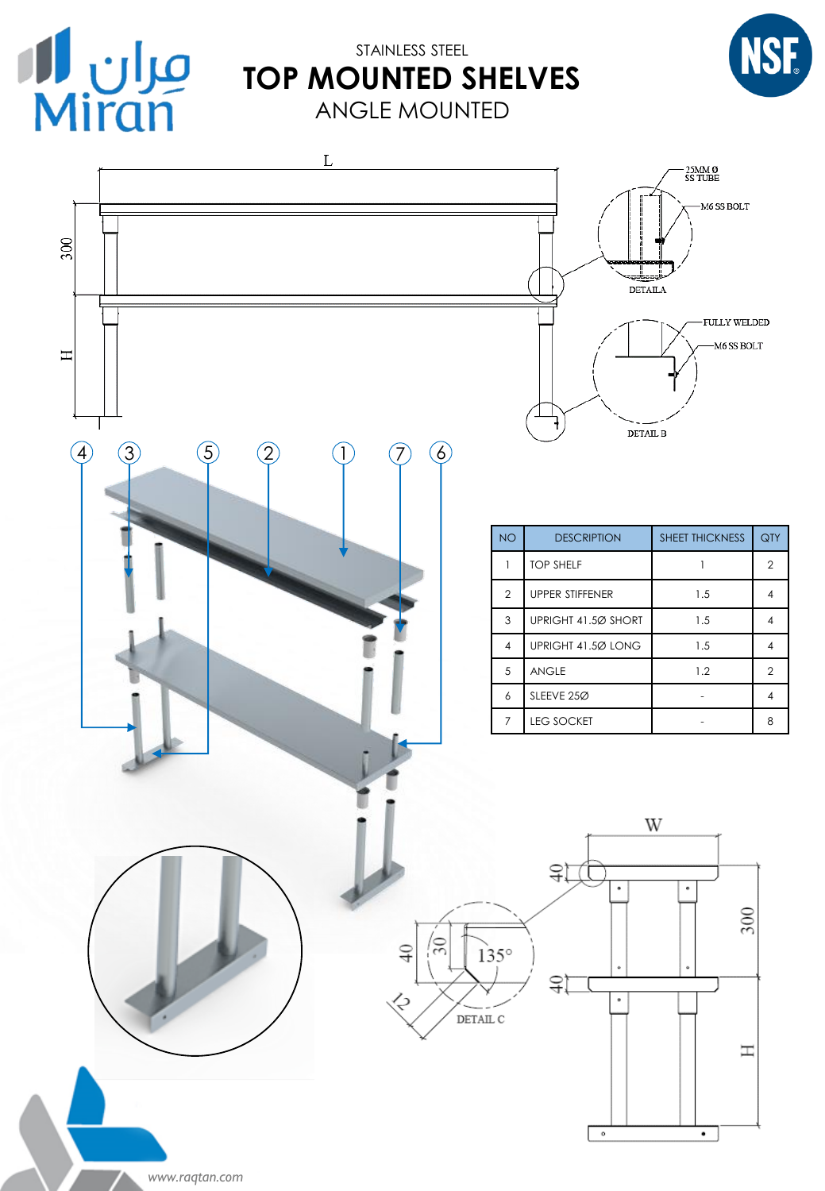

## STAINLESS STEEL **TOP MOUNTED SHELVES** ANGLE MOUNTED